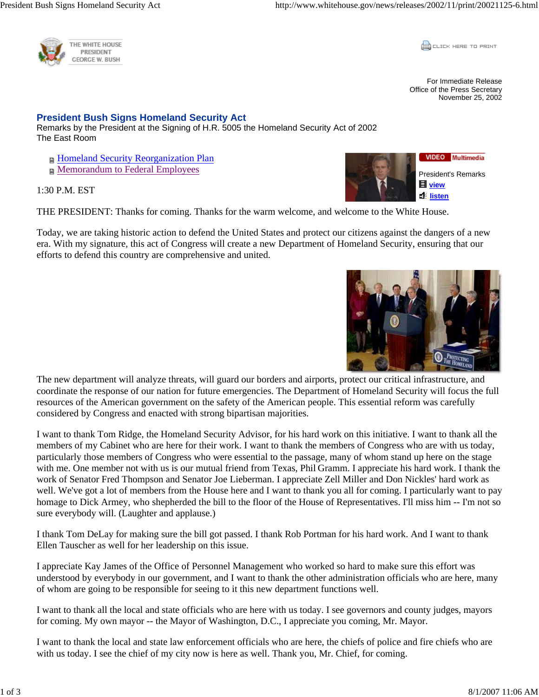

CLICK HERE TO PRINT

For Immediate Release Office of the Press Secretary November 25, 2002

President's Remarks

VIDEO Multimedia

**view listen**

## **President Bush Signs Homeland Security Act**

Remarks by the President at the Signing of H.R. 5005 the Homeland Security Act of 2002 The East Room

- **Homeland Security Reorganization Plan**
- **Memorandum to Federal Employees**

## 1:30 P.M. EST

THE PRESIDENT: Thanks for coming. Thanks for the warm welcome, and welcome to the White House.

Today, we are taking historic action to defend the United States and protect our citizens against the dangers of a new era. With my signature, this act of Congress will create a new Department of Homeland Security, ensuring that our efforts to defend this country are comprehensive and united.



The new department will analyze threats, will guard our borders and airports, protect our critical infrastructure, and coordinate the response of our nation for future emergencies. The Department of Homeland Security will focus the full resources of the American government on the safety of the American people. This essential reform was carefully considered by Congress and enacted with strong bipartisan majorities.

I want to thank Tom Ridge, the Homeland Security Advisor, for his hard work on this initiative. I want to thank all the members of my Cabinet who are here for their work. I want to thank the members of Congress who are with us today, particularly those members of Congress who were essential to the passage, many of whom stand up here on the stage with me. One member not with us is our mutual friend from Texas, Phil Gramm. I appreciate his hard work. I thank the work of Senator Fred Thompson and Senator Joe Lieberman. I appreciate Zell Miller and Don Nickles' hard work as well. We've got a lot of members from the House here and I want to thank you all for coming. I particularly want to pay homage to Dick Armey, who shepherded the bill to the floor of the House of Representatives. I'll miss him -- I'm not so sure everybody will. (Laughter and applause.)

I thank Tom DeLay for making sure the bill got passed. I thank Rob Portman for his hard work. And I want to thank Ellen Tauscher as well for her leadership on this issue.

I appreciate Kay James of the Office of Personnel Management who worked so hard to make sure this effort was understood by everybody in our government, and I want to thank the other administration officials who are here, many of whom are going to be responsible for seeing to it this new department functions well.

I want to thank all the local and state officials who are here with us today. I see governors and county judges, mayors for coming. My own mayor -- the Mayor of Washington, D.C., I appreciate you coming, Mr. Mayor.

I want to thank the local and state law enforcement officials who are here, the chiefs of police and fire chiefs who are with us today. I see the chief of my city now is here as well. Thank you, Mr. Chief, for coming.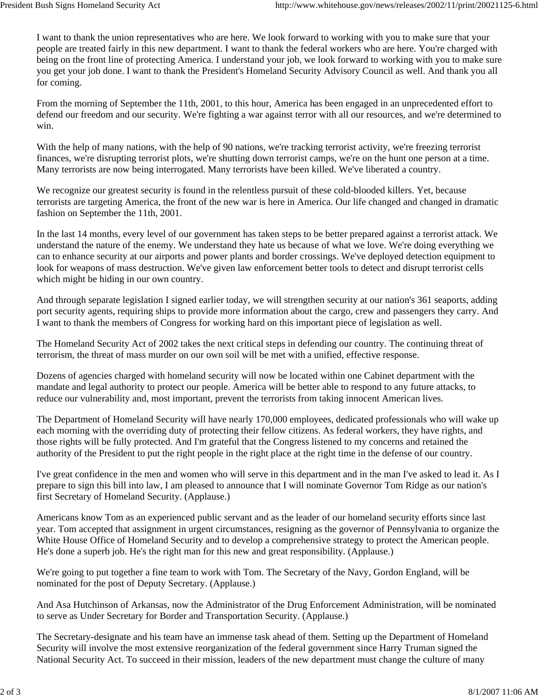I want to thank the union representatives who are here. We look forward to working with you to make sure that your people are treated fairly in this new department. I want to thank the federal workers who are here. You're charged with being on the front line of protecting America. I understand your job, we look forward to working with you to make sure you get your job done. I want to thank the President's Homeland Security Advisory Council as well. And thank you all for coming.

From the morning of September the 11th, 2001, to this hour, America has been engaged in an unprecedented effort to defend our freedom and our security. We're fighting a war against terror with all our resources, and we're determined to win.

With the help of many nations, with the help of 90 nations, we're tracking terrorist activity, we're freezing terrorist finances, we're disrupting terrorist plots, we're shutting down terrorist camps, we're on the hunt one person at a time. Many terrorists are now being interrogated. Many terrorists have been killed. We've liberated a country.

We recognize our greatest security is found in the relentless pursuit of these cold-blooded killers. Yet, because terrorists are targeting America, the front of the new war is here in America. Our life changed and changed in dramatic fashion on September the 11th, 2001.

In the last 14 months, every level of our government has taken steps to be better prepared against a terrorist attack. We understand the nature of the enemy. We understand they hate us because of what we love. We're doing everything we can to enhance security at our airports and power plants and border crossings. We've deployed detection equipment to look for weapons of mass destruction. We've given law enforcement better tools to detect and disrupt terrorist cells which might be hiding in our own country.

And through separate legislation I signed earlier today, we will strengthen security at our nation's 361 seaports, adding port security agents, requiring ships to provide more information about the cargo, crew and passengers they carry. And I want to thank the members of Congress for working hard on this important piece of legislation as well.

The Homeland Security Act of 2002 takes the next critical steps in defending our country. The continuing threat of terrorism, the threat of mass murder on our own soil will be met with a unified, effective response.

Dozens of agencies charged with homeland security will now be located within one Cabinet department with the mandate and legal authority to protect our people. America will be better able to respond to any future attacks, to reduce our vulnerability and, most important, prevent the terrorists from taking innocent American lives.

The Department of Homeland Security will have nearly 170,000 employees, dedicated professionals who will wake up each morning with the overriding duty of protecting their fellow citizens. As federal workers, they have rights, and those rights will be fully protected. And I'm grateful that the Congress listened to my concerns and retained the authority of the President to put the right people in the right place at the right time in the defense of our country.

I've great confidence in the men and women who will serve in this department and in the man I've asked to lead it. As I prepare to sign this bill into law, I am pleased to announce that I will nominate Governor Tom Ridge as our nation's first Secretary of Homeland Security. (Applause.)

Americans know Tom as an experienced public servant and as the leader of our homeland security efforts since last year. Tom accepted that assignment in urgent circumstances, resigning as the governor of Pennsylvania to organize the White House Office of Homeland Security and to develop a comprehensive strategy to protect the American people. He's done a superb job. He's the right man for this new and great responsibility. (Applause.)

We're going to put together a fine team to work with Tom. The Secretary of the Navy, Gordon England, will be nominated for the post of Deputy Secretary. (Applause.)

And Asa Hutchinson of Arkansas, now the Administrator of the Drug Enforcement Administration, will be nominated to serve as Under Secretary for Border and Transportation Security. (Applause.)

The Secretary-designate and his team have an immense task ahead of them. Setting up the Department of Homeland Security will involve the most extensive reorganization of the federal government since Harry Truman signed the National Security Act. To succeed in their mission, leaders of the new department must change the culture of many